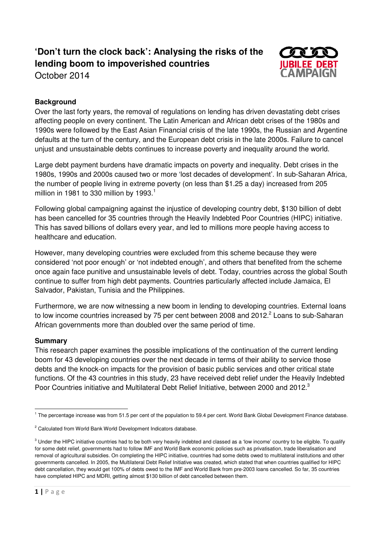# **'Don't turn the clock back': Analysing the risks of the lending boom to impoverished countries**



October 2014

## **Background**

Over the last forty years, the removal of regulations on lending has driven devastating debt crises affecting people on every continent. The Latin American and African debt crises of the 1980s and 1990s were followed by the East Asian Financial crisis of the late 1990s, the Russian and Argentine defaults at the turn of the century, and the European debt crisis in the late 2000s. Failure to cancel unjust and unsustainable debts continues to increase poverty and inequality around the world.

Large debt payment burdens have dramatic impacts on poverty and inequality. Debt crises in the 1980s, 1990s and 2000s caused two or more 'lost decades of development'. In sub-Saharan Africa, the number of people living in extreme poverty (on less than \$1.25 a day) increased from 205 million in 1981 to 330 million by 1993.<sup>1</sup>

Following global campaigning against the injustice of developing country debt, \$130 billion of debt has been cancelled for 35 countries through the Heavily Indebted Poor Countries (HIPC) initiative. This has saved billions of dollars every year, and led to millions more people having access to healthcare and education.

However, many developing countries were excluded from this scheme because they were considered 'not poor enough' or 'not indebted enough', and others that benefited from the scheme once again face punitive and unsustainable levels of debt. Today, countries across the global South continue to suffer from high debt payments. Countries particularly affected include Jamaica, El Salvador, Pakistan, Tunisia and the Philippines.

Furthermore, we are now witnessing a new boom in lending to developing countries. External loans to low income countries increased by 75 per cent between 2008 and 2012. $^2$  Loans to sub-Saharan African governments more than doubled over the same period of time.

#### **Summary**

This research paper examines the possible implications of the continuation of the current lending boom for 43 developing countries over the next decade in terms of their ability to service those debts and the knock-on impacts for the provision of basic public services and other critical state functions. Of the 43 countries in this study, 23 have received debt relief under the Heavily Indebted Poor Countries initiative and Multilateral Debt Relief Initiative, between 2000 and 2012.<sup>3</sup>

l <sup>1</sup> The percentage increase was from 51.5 per cent of the population to 59.4 per cent. World Bank Global Development Finance database.

<sup>&</sup>lt;sup>2</sup> Calculated from World Bank World Development Indicators database.

 $^3$  Under the HIPC initiative countries had to be both very heavily indebted and classed as a 'low income' country to be eligible. To qualify for some debt relief, governments had to follow IMF and World Bank economic policies such as privatisation, trade liberalisation and removal of agricultural subsidies. On completing the HIPC initiative, countries had some debts owed to multilateral institutions and other governments cancelled. In 2005, the Multilateral Debt Relief Initiative was created, which stated that when countries qualified for HIPC debt cancellation, they would get 100% of debts owed to the IMF and World Bank from pre-2003 loans cancelled. So far, 35 countries have completed HIPC and MDRI, getting almost \$130 billion of debt cancelled between them.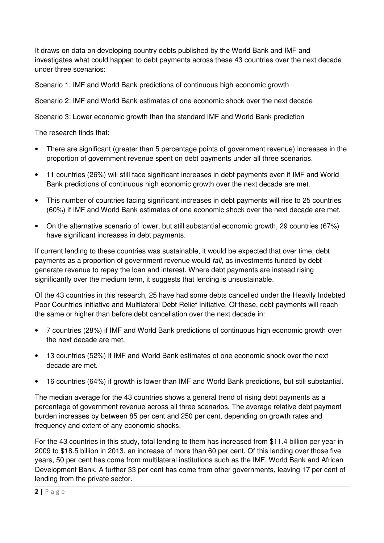It draws on data on developing country debts published by the World Bank and IMF and investigates what could happen to debt payments across these 43 countries over the next decade under three scenarios:

Scenario 1: IMF and World Bank predictions of continuous high economic growth

Scenario 2: IMF and World Bank estimates of one economic shock over the next decade

Scenario 3: Lower economic growth than the standard IMF and World Bank prediction

The research finds that:

- There are significant (greater than 5 percentage points of government revenue) increases in the proportion of government revenue spent on debt payments under all three scenarios.
- 11 countries (26%) will still face significant increases in debt payments even if IMF and World Bank predictions of continuous high economic growth over the next decade are met.
- This number of countries facing significant increases in debt payments will rise to 25 countries (60%) if IMF and World Bank estimates of one economic shock over the next decade are met.
- On the alternative scenario of lower, but still substantial economic growth, 29 countries (67%) have significant increases in debt payments.

If current lending to these countries was sustainable, it would be expected that over time, debt payments as a proportion of government revenue would fall, as investments funded by debt generate revenue to repay the loan and interest. Where debt payments are instead rising significantly over the medium term, it suggests that lending is unsustainable.

Of the 43 countries in this research, 25 have had some debts cancelled under the Heavily Indebted Poor Countries initiative and Multilateral Debt Relief Initiative. Of these, debt payments will reach the same or higher than before debt cancellation over the next decade in:

- 7 countries (28%) if IMF and World Bank predictions of continuous high economic growth over the next decade are met.
- 13 countries (52%) if IMF and World Bank estimates of one economic shock over the next decade are met.
- 16 countries (64%) if growth is lower than IMF and World Bank predictions, but still substantial.

The median average for the 43 countries shows a general trend of rising debt payments as a percentage of government revenue across all three scenarios. The average relative debt payment burden increases by between 85 per cent and 250 per cent, depending on growth rates and frequency and extent of any economic shocks.

For the 43 countries in this study, total lending to them has increased from \$11.4 billion per year in 2009 to \$18.5 billion in 2013, an increase of more than 60 per cent. Of this lending over those five years, 50 per cent has come from multilateral institutions such as the IMF, World Bank and African Development Bank. A further 33 per cent has come from other governments, leaving 17 per cent of lending from the private sector.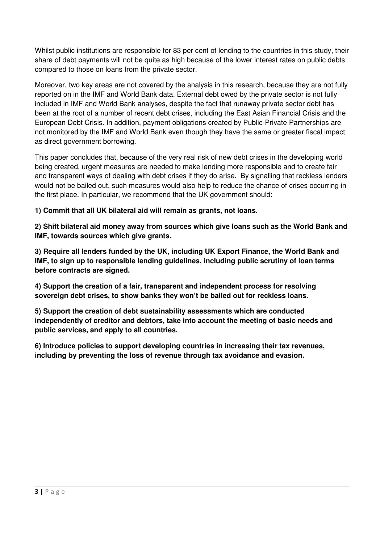Whilst public institutions are responsible for 83 per cent of lending to the countries in this study, their share of debt payments will not be quite as high because of the lower interest rates on public debts compared to those on loans from the private sector.

Moreover, two key areas are not covered by the analysis in this research, because they are not fully reported on in the IMF and World Bank data. External debt owed by the private sector is not fully included in IMF and World Bank analyses, despite the fact that runaway private sector debt has been at the root of a number of recent debt crises, including the East Asian Financial Crisis and the European Debt Crisis. In addition, payment obligations created by Public-Private Partnerships are not monitored by the IMF and World Bank even though they have the same or greater fiscal impact as direct government borrowing.

This paper concludes that, because of the very real risk of new debt crises in the developing world being created, urgent measures are needed to make lending more responsible and to create fair and transparent ways of dealing with debt crises if they do arise. By signalling that reckless lenders would not be bailed out, such measures would also help to reduce the chance of crises occurring in the first place. In particular, we recommend that the UK government should:

**1) Commit that all UK bilateral aid will remain as grants, not loans.** 

**2) Shift bilateral aid money away from sources which give loans such as the World Bank and IMF, towards sources which give grants.** 

**3) Require all lenders funded by the UK, including UK Export Finance, the World Bank and IMF, to sign up to responsible lending guidelines, including public scrutiny of loan terms before contracts are signed.** 

**4) Support the creation of a fair, transparent and independent process for resolving sovereign debt crises, to show banks they won't be bailed out for reckless loans.** 

**5) Support the creation of debt sustainability assessments which are conducted independently of creditor and debtors, take into account the meeting of basic needs and public services, and apply to all countries.** 

**6) Introduce policies to support developing countries in increasing their tax revenues, including by preventing the loss of revenue through tax avoidance and evasion.**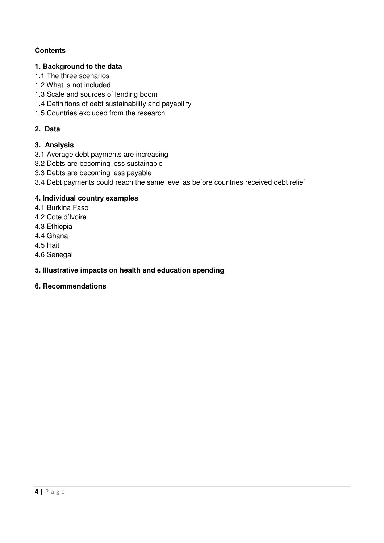### **Contents**

#### **1. Background to the data**

- 1.1 The three scenarios
- 1.2 What is not included
- 1.3 Scale and sources of lending boom
- 1.4 Definitions of debt sustainability and payability
- 1.5 Countries excluded from the research

### **2. Data**

### **3. Analysis**

- 3.1 Average debt payments are increasing
- 3.2 Debts are becoming less sustainable
- 3.3 Debts are becoming less payable
- 3.4 Debt payments could reach the same level as before countries received debt relief

### **4. Individual country examples**

- 4.1 Burkina Faso
- 4.2 Cote d'Ivoire
- 4.3 Ethiopia
- 4.4 Ghana
- 4.5 Haiti
- 4.6 Senegal

### **5. Illustrative impacts on health and education spending**

### **6. Recommendations**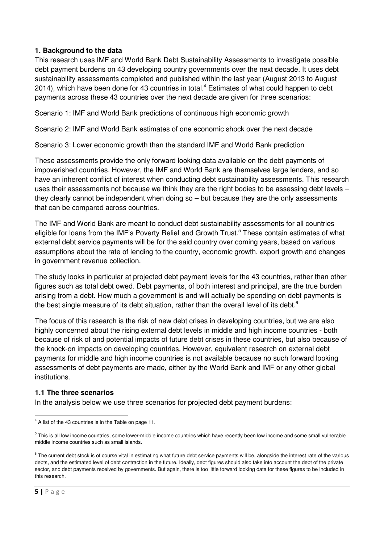#### **1. Background to the data**

This research uses IMF and World Bank Debt Sustainability Assessments to investigate possible debt payment burdens on 43 developing country governments over the next decade. It uses debt sustainability assessments completed and published within the last year (August 2013 to August 2014), which have been done for 43 countries in total.<sup>4</sup> Estimates of what could happen to debt payments across these 43 countries over the next decade are given for three scenarios:

Scenario 1: IMF and World Bank predictions of continuous high economic growth

Scenario 2: IMF and World Bank estimates of one economic shock over the next decade

Scenario 3: Lower economic growth than the standard IMF and World Bank prediction

These assessments provide the only forward looking data available on the debt payments of impoverished countries. However, the IMF and World Bank are themselves large lenders, and so have an inherent conflict of interest when conducting debt sustainability assessments. This research uses their assessments not because we think they are the right bodies to be assessing debt levels – they clearly cannot be independent when doing so – but because they are the only assessments that can be compared across countries.

The IMF and World Bank are meant to conduct debt sustainability assessments for all countries eligible for loans from the IMF's Poverty Relief and Growth Trust.<sup>5</sup> These contain estimates of what external debt service payments will be for the said country over coming years, based on various assumptions about the rate of lending to the country, economic growth, export growth and changes in government revenue collection.

The study looks in particular at projected debt payment levels for the 43 countries, rather than other figures such as total debt owed. Debt payments, of both interest and principal, are the true burden arising from a debt. How much a government is and will actually be spending on debt payments is the best single measure of its debt situation, rather than the overall level of its debt. $6$ 

The focus of this research is the risk of new debt crises in developing countries, but we are also highly concerned about the rising external debt levels in middle and high income countries - both because of risk of and potential impacts of future debt crises in these countries, but also because of the knock-on impacts on developing countries. However, equivalent research on external debt payments for middle and high income countries is not available because no such forward looking assessments of debt payments are made, either by the World Bank and IMF or any other global institutions.

#### **1.1 The three scenarios**

In the analysis below we use three scenarios for projected debt payment burdens:

 $\overline{a}$  $4$  A list of the 43 countries is in the Table on page 11.

<sup>&</sup>lt;sup>5</sup> This is all low income countries, some lower-middle income countries which have recently been low income and some small vulnerable middle income countries such as small islands.

 $6$  The current debt stock is of course vital in estimating what future debt service payments will be, alongside the interest rate of the various debts, and the estimated level of debt contraction in the future. Ideally, debt figures should also take into account the debt of the private sector, and debt payments received by governments. But again, there is too little forward looking data for these figures to be included in this research.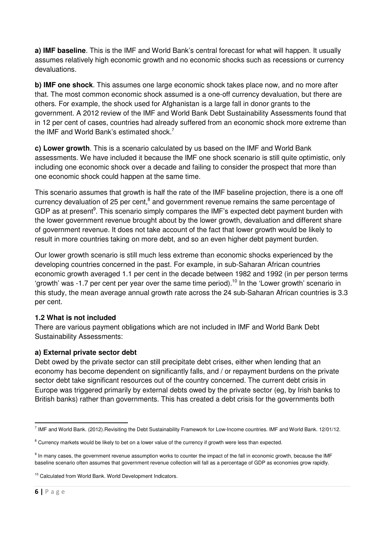**a) IMF baseline**. This is the IMF and World Bank's central forecast for what will happen. It usually assumes relatively high economic growth and no economic shocks such as recessions or currency devaluations.

**b) IMF one shock**. This assumes one large economic shock takes place now, and no more after that. The most common economic shock assumed is a one-off currency devaluation, but there are others. For example, the shock used for Afghanistan is a large fall in donor grants to the government. A 2012 review of the IMF and World Bank Debt Sustainability Assessments found that in 12 per cent of cases, countries had already suffered from an economic shock more extreme than the IMF and World Bank's estimated shock.<sup>7</sup>

**c) Lower growth**. This is a scenario calculated by us based on the IMF and World Bank assessments. We have included it because the IMF one shock scenario is still quite optimistic, only including one economic shock over a decade and failing to consider the prospect that more than one economic shock could happen at the same time.

This scenario assumes that growth is half the rate of the IMF baseline projection, there is a one off currency devaluation of 25 per cent,<sup>8</sup> and government revenue remains the same percentage of GDP as at present<sup>9</sup>. This scenario simply compares the IMF's expected debt payment burden with the lower government revenue brought about by the lower growth, devaluation and different share of government revenue. It does not take account of the fact that lower growth would be likely to result in more countries taking on more debt, and so an even higher debt payment burden.

Our lower growth scenario is still much less extreme than economic shocks experienced by the developing countries concerned in the past. For example, in sub-Saharan African countries economic growth averaged 1.1 per cent in the decade between 1982 and 1992 (in per person terms 'growth' was  $-1.7$  per cent per year over the same time period).<sup>10</sup> In the 'Lower growth' scenario in this study, the mean average annual growth rate across the 24 sub-Saharan African countries is 3.3 per cent.

#### **1.2 What is not included**

There are various payment obligations which are not included in IMF and World Bank Debt Sustainability Assessments:

### **a) External private sector debt**

Debt owed by the private sector can still precipitate debt crises, either when lending that an economy has become dependent on significantly falls, and / or repayment burdens on the private sector debt take significant resources out of the country concerned. The current debt crisis in Europe was triggered primarily by external debts owed by the private sector (eg, by Irish banks to British banks) rather than governments. This has created a debt crisis for the governments both

l <sup>7</sup> IMF and World Bank. (2012).Revisiting the Debt Sustainability Framework for Low-Income countries. IMF and World Bank. 12/01/12.

 $8$  Currency markets would be likely to bet on a lower value of the currency if growth were less than expected.

<sup>&</sup>lt;sup>9</sup> In many cases, the government revenue assumption works to counter the impact of the fall in economic growth, because the IMF baseline scenario often assumes that government revenue collection will fall as a percentage of GDP as economies grow rapidly.

<sup>&</sup>lt;sup>10</sup> Calculated from World Bank. World Development Indicators.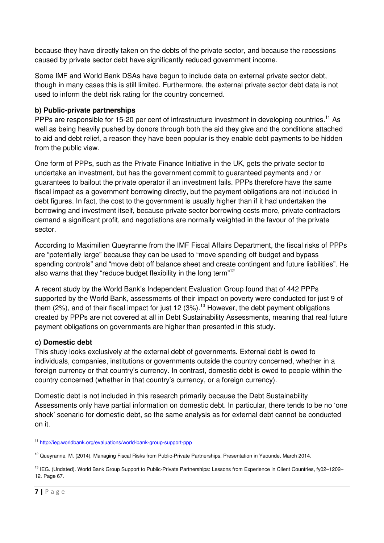because they have directly taken on the debts of the private sector, and because the recessions caused by private sector debt have significantly reduced government income.

Some IMF and World Bank DSAs have begun to include data on external private sector debt, though in many cases this is still limited. Furthermore, the external private sector debt data is not used to inform the debt risk rating for the country concerned.

### **b) Public-private partnerships**

PPPs are responsible for 15-20 per cent of infrastructure investment in developing countries.<sup>11</sup> As well as being heavily pushed by donors through both the aid they give and the conditions attached to aid and debt relief, a reason they have been popular is they enable debt payments to be hidden from the public view.

One form of PPPs, such as the Private Finance Initiative in the UK, gets the private sector to undertake an investment, but has the government commit to guaranteed payments and / or guarantees to bailout the private operator if an investment fails. PPPs therefore have the same fiscal impact as a government borrowing directly, but the payment obligations are not included in debt figures. In fact, the cost to the government is usually higher than if it had undertaken the borrowing and investment itself, because private sector borrowing costs more, private contractors demand a significant profit, and negotiations are normally weighted in the favour of the private sector.

According to Maximilien Queyranne from the IMF Fiscal Affairs Department, the fiscal risks of PPPs are "potentially large" because they can be used to "move spending off budget and bypass spending controls" and "move debt off balance sheet and create contingent and future liabilities". He also warns that they "reduce budget flexibility in the long term"<sup>12</sup>

A recent study by the World Bank's Independent Evaluation Group found that of 442 PPPs supported by the World Bank, assessments of their impact on poverty were conducted for just 9 of them (2%), and of their fiscal impact for just 12 (3%).<sup>13</sup> However, the debt payment obligations created by PPPs are not covered at all in Debt Sustainability Assessments, meaning that real future payment obligations on governments are higher than presented in this study.

#### **c) Domestic debt**

This study looks exclusively at the external debt of governments. External debt is owed to individuals, companies, institutions or governments outside the country concerned, whether in a foreign currency or that country's currency. In contrast, domestic debt is owed to people within the country concerned (whether in that country's currency, or a foreign currency).

Domestic debt is not included in this research primarily because the Debt Sustainability Assessments only have partial information on domestic debt. In particular, there tends to be no 'one shock' scenario for domestic debt, so the same analysis as for external debt cannot be conducted on it.

l <sup>11</sup> http://ieg.worldbank.org/evaluations/world-bank-group-support-ppp

<sup>&</sup>lt;sup>12</sup> Queyranne, M. (2014). Managing Fiscal Risks from Public-Private Partnerships. Presentation in Yaounde, March 2014.

<sup>&</sup>lt;sup>13</sup> IEG. (Undated). World Bank Group Support to Public-Private Partnerships: Lessons from Experience in Client Countries, fy02-1202-12. Page 67.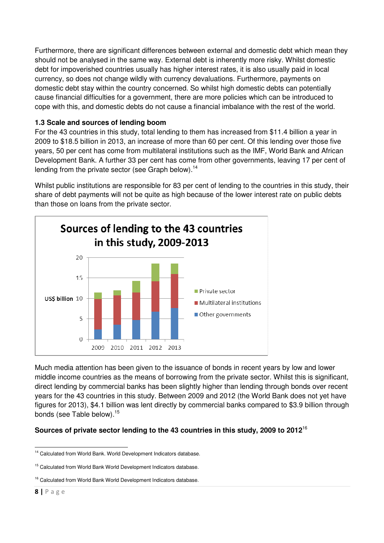Furthermore, there are significant differences between external and domestic debt which mean they should not be analysed in the same way. External debt is inherently more risky. Whilst domestic debt for impoverished countries usually has higher interest rates, it is also usually paid in local currency, so does not change wildly with currency devaluations. Furthermore, payments on domestic debt stay within the country concerned. So whilst high domestic debts can potentially cause financial difficulties for a government, there are more policies which can be introduced to cope with this, and domestic debts do not cause a financial imbalance with the rest of the world.

#### **1.3 Scale and sources of lending boom**

For the 43 countries in this study, total lending to them has increased from \$11.4 billion a year in 2009 to \$18.5 billion in 2013, an increase of more than 60 per cent. Of this lending over those five years, 50 per cent has come from multilateral institutions such as the IMF, World Bank and African Development Bank. A further 33 per cent has come from other governments, leaving 17 per cent of lending from the private sector (see Graph below).<sup>14</sup>

Whilst public institutions are responsible for 83 per cent of lending to the countries in this study, their share of debt payments will not be quite as high because of the lower interest rate on public debts than those on loans from the private sector.



Much media attention has been given to the issuance of bonds in recent years by low and lower middle income countries as the means of borrowing from the private sector. Whilst this is significant, direct lending by commercial banks has been slightly higher than lending through bonds over recent years for the 43 countries in this study. Between 2009 and 2012 (the World Bank does not yet have figures for 2013), \$4.1 billion was lent directly by commercial banks compared to \$3.9 billion through bonds (see Table below). $^{15}$ 

### **Sources of private sector lending to the 43 countries in this study, 2009 to 2012**<sup>16</sup>

 $\overline{\phantom{0}}$ <sup>14</sup> Calculated from World Bank. World Development Indicators database.

<sup>&</sup>lt;sup>15</sup> Calculated from World Bank World Development Indicators database.

<sup>&</sup>lt;sup>16</sup> Calculated from World Bank World Development Indicators database.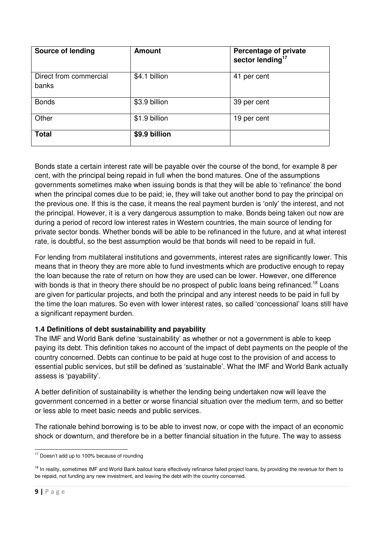| <b>Source of lending</b>        | <b>Amount</b> | Percentage of private<br>sector lending <sup>17</sup> |
|---------------------------------|---------------|-------------------------------------------------------|
| Direct from commercial<br>banks | \$4.1 billion | 41 per cent                                           |
| <b>Bonds</b>                    | \$3.9 billion | 39 per cent                                           |
| Other                           | \$1.9 billion | 19 per cent                                           |
| <b>Total</b>                    | \$9.9 billion |                                                       |

Bonds state a certain interest rate will be payable over the course of the bond, for example 8 per cent, with the principal being repaid in full when the bond matures. One of the assumptions governments sometimes make when issuing bonds is that they will be able to 'refinance' the bond when the principal comes due to be paid; ie, they will take out another bond to pay the principal on the previous one. If this is the case, it means the real payment burden is 'only' the interest, and not the principal. However, it is a very dangerous assumption to make. Bonds being taken out now are during a period of record low interest rates in Western countries, the main source of lending for private sector bonds. Whether bonds will be able to be refinanced in the future, and at what interest rate, is doubtful, so the best assumption would be that bonds will need to be repaid in full.

For lending from multilateral institutions and governments, interest rates are significantly lower. This means that in theory they are more able to fund investments which are productive enough to repay the loan because the rate of return on how they are used can be lower. However, one difference with bonds is that in theory there should be no prospect of public loans being refinanced.<sup>18</sup> Loans are given for particular projects, and both the principal and any interest needs to be paid in full by the time the loan matures. So even with lower interest rates, so called 'concessional' loans still have a significant repayment burden.

### **1.4 Definitions of debt sustainability and payability**

The IMF and World Bank define 'sustainability' as whether or not a government is able to keep paying its debt. This definition takes no account of the impact of debt payments on the people of the country concerned. Debts can continue to be paid at huge cost to the provision of and access to essential public services, but still be defined as 'sustainable'. What the IMF and World Bank actually assess is 'payability'.

A better definition of sustainability is whether the lending being undertaken now will leave the government concerned in a better or worse financial situation over the medium term, and so better or less able to meet basic needs and public services.

The rationale behind borrowing is to be able to invest now, or cope with the impact of an economic shock or downturn, and therefore be in a better financial situation in the future. The way to assess

l  $17$  Doesn't add up to 100% because of rounding

<sup>&</sup>lt;sup>18</sup> In reality, sometimes IMF and World Bank bailout loans effectively refinance failed project loans, by providing the revenue for them to be repaid, not funding any new investment, and leaving the debt with the country concerned.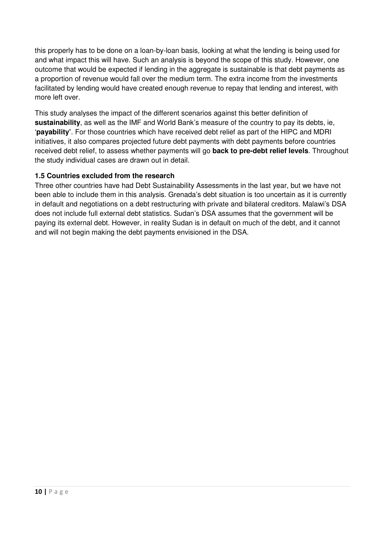this properly has to be done on a loan-by-loan basis, looking at what the lending is being used for and what impact this will have. Such an analysis is beyond the scope of this study. However, one outcome that would be expected if lending in the aggregate is sustainable is that debt payments as a proportion of revenue would fall over the medium term. The extra income from the investments facilitated by lending would have created enough revenue to repay that lending and interest, with more left over.

This study analyses the impact of the different scenarios against this better definition of **sustainability**, as well as the IMF and World Bank's measure of the country to pay its debts, ie, '**payability'**. For those countries which have received debt relief as part of the HIPC and MDRI initiatives, it also compares projected future debt payments with debt payments before countries received debt relief, to assess whether payments will go **back to pre-debt relief levels**. Throughout the study individual cases are drawn out in detail.

#### **1.5 Countries excluded from the research**

Three other countries have had Debt Sustainability Assessments in the last year, but we have not been able to include them in this analysis. Grenada's debt situation is too uncertain as it is currently in default and negotiations on a debt restructuring with private and bilateral creditors. Malawi's DSA does not include full external debt statistics. Sudan's DSA assumes that the government will be paying its external debt. However, in reality Sudan is in default on much of the debt, and it cannot and will not begin making the debt payments envisioned in the DSA.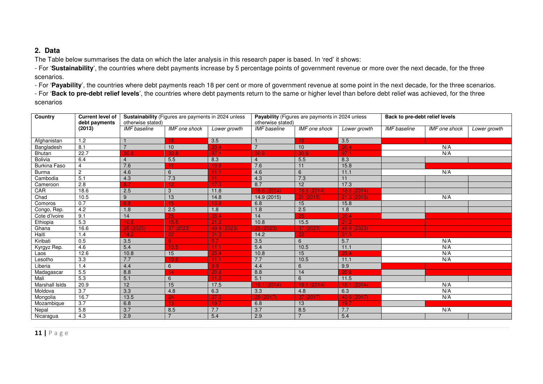#### **2. Data**

The Table below summarises the data on which the later analysis in this research paper is based. In 'red' it shows:

- For '**Sustainability**', the countries where debt payments increase by 5 percentage points of government revenue or more over the next decade, for the three scenarios.

- For '**Payability**', the countries where debt payments reach 18 per cent or more of government revenue at some point in the next decade, for the three scenarios.

- For '**Back to pre-debt relief levels**', the countries where debt payments return to the same or higher level than before debt relief was achieved, for the three scenarios

| <b>Country</b>      | <b>Current level of</b><br>debt payments | otherwise stated)   | Sustainability (Figures are payments in 2024 unless |              | Payability (Figures are payments in 2024 unless<br>otherwise stated) |                 |                  | Back to pre-debt relief levels |                      |              |
|---------------------|------------------------------------------|---------------------|-----------------------------------------------------|--------------|----------------------------------------------------------------------|-----------------|------------------|--------------------------------|----------------------|--------------|
|                     | (2013)                                   | <b>IMF</b> baseline | <b>IMF</b> one shock                                | Lower growth | <b>IMF</b> baseline                                                  | IMF one shock   | Lower growth     | <b>IMF</b> baseline            | <b>IMF</b> one shock | Lower growth |
| Afghanistan         | 1.2                                      |                     | 18                                                  | 3.5          |                                                                      | 18              | 3.5              |                                |                      |              |
| Bangladesh          | 8.1                                      | $\overline{7}$      | 10 <sup>1</sup>                                     | 20.4         | $\overline{7}$                                                       | 10              | 20.4             |                                | N/A                  |              |
| <b>Bhutan</b>       | 22.7                                     | 30.8                | 30.8                                                | 97.1         | 30.8                                                                 | 30.8            | 97.1             |                                | N/A                  |              |
| <b>Bolivia</b>      | 6.4                                      | $\overline{4}$      | 5.5                                                 | 8.3          | $\overline{4}$                                                       | 5.5             | 8.3              |                                |                      |              |
| <b>Burkina Faso</b> | $\overline{4}$                           | 7.6                 |                                                     | 15.8         | 7.6                                                                  | 11              | 15.8             |                                |                      |              |
| <b>Burma</b>        | $\overline{2}$                           | 4.6                 | 6                                                   | 11.1         | 4.6                                                                  | 6               | 11.1             |                                | N/A                  |              |
| Cambodia            | 5.1                                      | 4.3                 | 7.3                                                 | 11.          | 4.3                                                                  | 7.3             | 11               |                                |                      |              |
| Cameroon            | 2.8                                      | 8.7                 | 12                                                  | 17.3         | 8.7                                                                  | 12              | 17.3             |                                |                      |              |
| CAR                 | 18.6                                     | 2.5                 | 3                                                   | 11.8         | 18.5 (2014)                                                          | 18.5(2014)      | 18.5(2014)       |                                |                      |              |
| Chad                | 10.5                                     | 9                   | 13                                                  | 14.8         | 14.9 (2015)                                                          | 21(2015)        | 21.3(2015)       |                                | N/A                  |              |
| Comoros             | 0.7                                      | 6.8                 | 15                                                  | 15.8         | 6.8                                                                  | 15              | 15.8             |                                |                      |              |
| Congo, Rep.         | 4.2                                      | 1.8                 | 2.5                                                 | 1.8          | 1.8                                                                  | 2.5             | 1.8              |                                |                      |              |
| Cote d'Ivoire       | 9.1                                      | 14                  | 25                                                  | 35.4         | 14                                                                   | $\overline{25}$ | 35.4             |                                |                      |              |
| Ethiopia            | 5.3                                      | 10.8                | 15.5                                                | 21.2         | 10.8                                                                 | 15.5            | 21.2             |                                |                      |              |
| Ghana               | 16.6                                     | 25(2023)            | 37 (2023)                                           | 49.9 (2023)  | 25 (2023)                                                            | 37 (2023)       | 49.9 (2023)      |                                |                      |              |
| Haiti               | 1.4                                      | 14.2                | 22                                                  | 31.3         | 14.2                                                                 | 22              | 31.3             |                                |                      |              |
| Kiribati            | 0.5                                      | 3.5                 | 6                                                   | 5.7          | 3.5                                                                  | 6               | 5.7              |                                | N/A                  |              |
| Kyrgyz Rep.         | 4.6                                      | 5.4                 | 10.5                                                | 11.1         | 5.4                                                                  | 10.5            | 11.1             |                                | N/A                  |              |
| Laos                | 12.6                                     | 10.8                | 15                                                  | 25.4         | 10.8                                                                 | 15              | 25.4             |                                | N/A                  |              |
| Lesotho             | 3.3                                      | 7.7                 | 10.5                                                | 11.1         | 7.7                                                                  | 10.5            | 11.1             |                                | N/A                  |              |
| Liberia             | 1.4                                      | 4.4                 | 6                                                   | 9.9          | 4.4                                                                  | 6               | 9.9              |                                |                      |              |
| Madagascar          | 5.5                                      | 8.8                 |                                                     | 20.8         | 8.8                                                                  | 14              | 20.8             |                                |                      |              |
| Mali                | 5.3                                      | 5.1                 | 6                                                   | 11.5         | 5.1                                                                  | 6               | 11.5             |                                |                      |              |
| Marshall Islds      | 20.9                                     | 12                  | 15                                                  | 17.5         | 18.1 (2014)                                                          | (2014)<br>18.1  | 18.1(2014)       |                                | N/A                  |              |
| Moldova             | 3.7                                      | 3.3                 | 4.8                                                 | 6.3          | 3.3                                                                  | 4.8             | 6.3              |                                | N/A                  |              |
| Mongolia            | 16.7                                     | 13.5                | 24                                                  | 27.3         | 29(2017)                                                             | 37 (2017)       | 43.9 (2017)      |                                | N/A                  |              |
| Mozambique          | 3.7                                      | 6.8                 | 13                                                  | 19.7         | 6.8                                                                  | 13              | 19.7             |                                |                      |              |
| Nepal               | 5.8                                      | 3.7                 | 8.5                                                 | 7.7          | 3.7                                                                  | 8.5             | 7.7              |                                | N/A                  |              |
| Nicaragua           | 4.3                                      | 2.9                 | $\overline{z}$                                      | 5.4          | 2.9                                                                  |                 | $\overline{5.4}$ |                                |                      |              |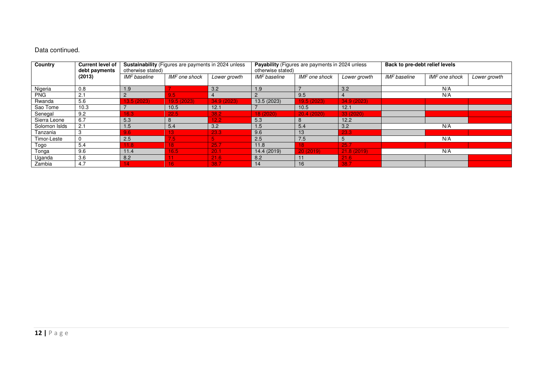#### Data continued.

| Country<br><b>Current level of</b><br>debt payments |        | Sustainability (Figures are payments in 2024 unless<br>otherwise stated) |                  | Payability (Figures are payments in 2024 unless<br>otherwise stated) |              | Back to pre-debt relief levels |              |                     |               |              |
|-----------------------------------------------------|--------|--------------------------------------------------------------------------|------------------|----------------------------------------------------------------------|--------------|--------------------------------|--------------|---------------------|---------------|--------------|
|                                                     | (2013) | <b>IMF</b> baseline                                                      | IMF one shock    | Lower growth                                                         | IMF baseline | <b>IMF</b> one shock           | Lower growth | <b>IMF</b> baseline | IMF one shock | Lower growth |
| Nigeria                                             | 0.8    | 1.9                                                                      |                  | 3.2                                                                  | 1.9          |                                | 3.2          |                     | N/A           |              |
| <b>PNG</b>                                          | 2.1    | 2                                                                        | 9.5 <sub>1</sub> | $\overline{4}$                                                       |              | 9.5                            |              |                     | N/A           |              |
| Rwanda                                              | 5.6    | 13.5 (2023)                                                              | 19.5 (2023)      | 34.9 (2023)                                                          | 13.5 (2023)  | 19.5 (2023)                    | 34.9 (2023)  |                     |               |              |
| Sao Tome                                            | 10.3   |                                                                          | 10.5             | 12.1                                                                 |              | 10.5                           | 12.1         |                     |               |              |
| Senegal                                             | 9.2    | 16.3                                                                     | 22.5             | 38.2                                                                 | 18(2020)     | 20.4 (2020)                    | 33 (2020)    |                     |               |              |
| Sierra Leone                                        | 6.7    | 5.3                                                                      | 8                | 12.2                                                                 | 5.3          | 8                              | 12.2         |                     |               |              |
| Solomon Islds                                       | 2.1    | 1.5                                                                      | 5.4              | 3.2                                                                  | 1.5          | 5.4                            | 3.2          |                     | N/A           |              |
| Tanzania                                            | 3      | 9.6 <sub>1</sub>                                                         | 13 I             | 23.3                                                                 | 9.6          | 13                             | 23.3         |                     |               |              |
| Timor-Leste                                         |        | 2.5                                                                      | 7.5\             | 5.                                                                   | 2.5          | 7.5                            | 5            |                     | N/A           |              |
| Togo                                                | 5.4    | 11.8                                                                     | 181              | 25.7                                                                 | 11.8         | 18                             | 25.7         |                     |               |              |
| Tonga                                               | 9.6    | 11.4                                                                     | 16.5             | 20.1                                                                 | 14.4 (2019)  | 20(2019)                       | 21.8(2019)   |                     | N/A           |              |
| Uganda                                              | 3.6    | 8.2                                                                      |                  | 21.6                                                                 | 8.2          |                                | 21.6         |                     |               |              |
| Zambia                                              | 4.7    | 14.                                                                      | 16)              | 38.7                                                                 | 14           | 16                             | 38.7         |                     |               |              |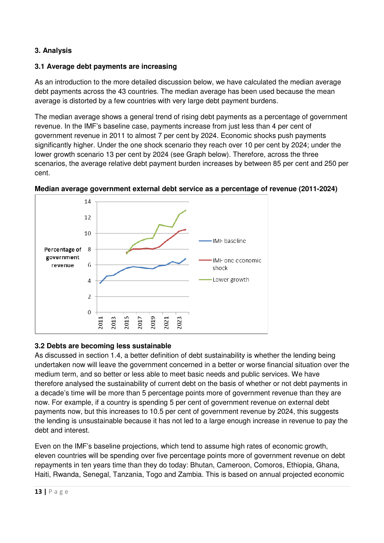### **3. Analysis**

### **3.1 Average debt payments are increasing**

As an introduction to the more detailed discussion below, we have calculated the median average debt payments across the 43 countries. The median average has been used because the mean average is distorted by a few countries with very large debt payment burdens.

The median average shows a general trend of rising debt payments as a percentage of government revenue. In the IMF's baseline case, payments increase from just less than 4 per cent of government revenue in 2011 to almost 7 per cent by 2024. Economic shocks push payments significantly higher. Under the one shock scenario they reach over 10 per cent by 2024; under the lower growth scenario 13 per cent by 2024 (see Graph below). Therefore, across the three scenarios, the average relative debt payment burden increases by between 85 per cent and 250 per cent.



### **Median average government external debt service as a percentage of revenue (2011-2024)**

#### **3.2 Debts are becoming less sustainable**

As discussed in section 1.4, a better definition of debt sustainability is whether the lending being undertaken now will leave the government concerned in a better or worse financial situation over the medium term, and so better or less able to meet basic needs and public services. We have therefore analysed the sustainability of current debt on the basis of whether or not debt payments in a decade's time will be more than 5 percentage points more of government revenue than they are now. For example, if a country is spending 5 per cent of government revenue on external debt payments now, but this increases to 10.5 per cent of government revenue by 2024, this suggests the lending is unsustainable because it has not led to a large enough increase in revenue to pay the debt and interest.

Even on the IMF's baseline projections, which tend to assume high rates of economic growth, eleven countries will be spending over five percentage points more of government revenue on debt repayments in ten years time than they do today: Bhutan, Cameroon, Comoros, Ethiopia, Ghana, Haiti, Rwanda, Senegal, Tanzania, Togo and Zambia. This is based on annual projected economic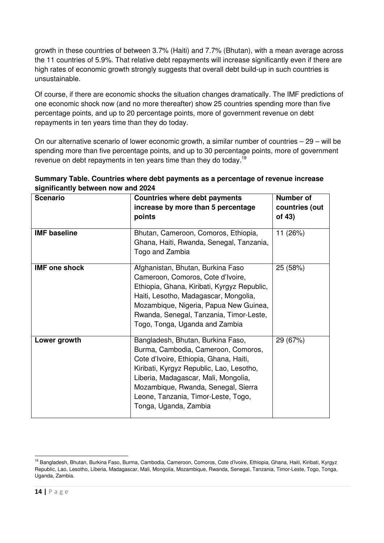growth in these countries of between 3.7% (Haiti) and 7.7% (Bhutan), with a mean average across the 11 countries of 5.9%. That relative debt repayments will increase significantly even if there are high rates of economic growth strongly suggests that overall debt build-up in such countries is unsustainable.

Of course, if there are economic shocks the situation changes dramatically. The IMF predictions of one economic shock now (and no more thereafter) show 25 countries spending more than five percentage points, and up to 20 percentage points, more of government revenue on debt repayments in ten years time than they do today.

On our alternative scenario of lower economic growth, a similar number of countries – 29 – will be spending more than five percentage points, and up to 30 percentage points, more of government revenue on debt repayments in ten years time than they do today.<sup>19</sup>

| Summary Table. Countries where debt payments as a percentage of revenue increase |  |
|----------------------------------------------------------------------------------|--|
| significantly between now and 2024                                               |  |

| <b>Scenario</b>      | <b>Countries where debt payments</b><br>increase by more than 5 percentage<br>points                                                                                                                                                                                                                          | Number of<br>countries (out<br>of 43) |
|----------------------|---------------------------------------------------------------------------------------------------------------------------------------------------------------------------------------------------------------------------------------------------------------------------------------------------------------|---------------------------------------|
| <b>IMF</b> baseline  | Bhutan, Cameroon, Comoros, Ethiopia,<br>Ghana, Haiti, Rwanda, Senegal, Tanzania,<br>Togo and Zambia                                                                                                                                                                                                           | 11 (26%)                              |
| <b>IMF one shock</b> | Afghanistan, Bhutan, Burkina Faso<br>Cameroon, Comoros, Cote d'Ivoire,<br>Ethiopia, Ghana, Kiribati, Kyrgyz Republic,<br>Haiti, Lesotho, Madagascar, Mongolia,<br>Mozambique, Nigeria, Papua New Guinea,<br>Rwanda, Senegal, Tanzania, Timor-Leste,<br>Togo, Tonga, Uganda and Zambia                         | 25 (58%)                              |
| Lower growth         | Bangladesh, Bhutan, Burkina Faso,<br>Burma, Cambodia, Cameroon, Comoros,<br>Cote d'Ivoire, Ethiopia, Ghana, Haiti,<br>Kiribati, Kyrgyz Republic, Lao, Lesotho,<br>Liberia, Madagascar, Mali, Mongolia,<br>Mozambique, Rwanda, Senegal, Sierra<br>Leone, Tanzania, Timor-Leste, Togo,<br>Tonga, Uganda, Zambia | 29 (67%)                              |

l 19 Bangladesh, Bhutan, Burkina Faso, Burma, Cambodia, Cameroon, Comoros, Cote d'Ivoire, Ethiopia, Ghana, Haiti, Kiribati, Kyrgyz Republic, Lao, Lesotho, Liberia, Madagascar, Mali, Mongolia, Mozambique, Rwanda, Senegal, Tanzania, Timor-Leste, Togo, Tonga, Uganda, Zambia.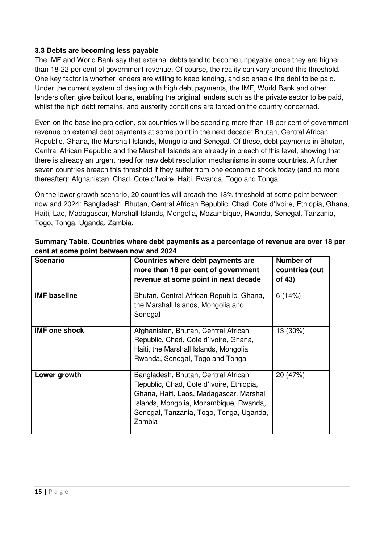#### **3.3 Debts are becoming less payable**

The IMF and World Bank say that external debts tend to become unpayable once they are higher than 18-22 per cent of government revenue. Of course, the reality can vary around this threshold. One key factor is whether lenders are willing to keep lending, and so enable the debt to be paid. Under the current system of dealing with high debt payments, the IMF, World Bank and other lenders often give bailout loans, enabling the original lenders such as the private sector to be paid, whilst the high debt remains, and austerity conditions are forced on the country concerned.

Even on the baseline projection, six countries will be spending more than 18 per cent of government revenue on external debt payments at some point in the next decade: Bhutan, Central African Republic, Ghana, the Marshall Islands, Mongolia and Senegal. Of these, debt payments in Bhutan, Central African Republic and the Marshall Islands are already in breach of this level, showing that there is already an urgent need for new debt resolution mechanisms in some countries. A further seven countries breach this threshold if they suffer from one economic shock today (and no more thereafter): Afghanistan, Chad, Cote d'Ivoire, Haiti, Rwanda, Togo and Tonga.

On the lower growth scenario, 20 countries will breach the 18% threshold at some point between now and 2024: Bangladesh, Bhutan, Central African Republic, Chad, Cote d'Ivoire, Ethiopia, Ghana, Haiti, Lao, Madagascar, Marshall Islands, Mongolia, Mozambique, Rwanda, Senegal, Tanzania, Togo, Tonga, Uganda, Zambia.

| <b>Scenario</b>      | Countries where debt payments are<br>more than 18 per cent of government<br>revenue at some point in next decade                                                                                                           | Number of<br>countries (out<br>of 43) |
|----------------------|----------------------------------------------------------------------------------------------------------------------------------------------------------------------------------------------------------------------------|---------------------------------------|
| <b>IMF</b> baseline  | Bhutan, Central African Republic, Ghana,<br>the Marshall Islands, Mongolia and<br>Senegal                                                                                                                                  | 6(14%)                                |
| <b>IMF</b> one shock | Afghanistan, Bhutan, Central African<br>Republic, Chad, Cote d'Ivoire, Ghana,<br>Haiti, the Marshall Islands, Mongolia<br>Rwanda, Senegal, Togo and Tonga                                                                  | 13 (30%)                              |
| Lower growth         | Bangladesh, Bhutan, Central African<br>Republic, Chad, Cote d'Ivoire, Ethiopia,<br>Ghana, Haiti, Laos, Madagascar, Marshall<br>Islands, Mongolia, Mozambique, Rwanda,<br>Senegal, Tanzania, Togo, Tonga, Uganda,<br>Zambia | 20 (47%)                              |

| Summary Table. Countries where debt payments as a percentage of revenue are over 18 per |
|-----------------------------------------------------------------------------------------|
| cent at some point between now and 2024                                                 |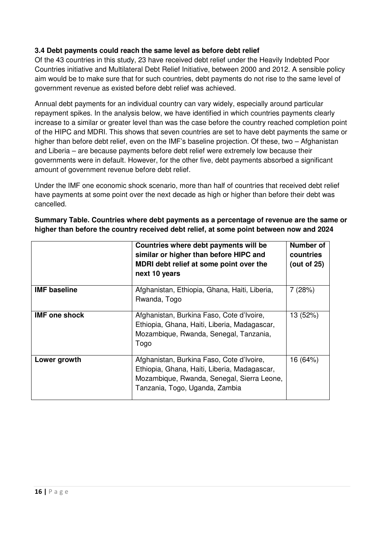### **3.4 Debt payments could reach the same level as before debt relief**

Of the 43 countries in this study, 23 have received debt relief under the Heavily Indebted Poor Countries initiative and Multilateral Debt Relief Initiative, between 2000 and 2012. A sensible policy aim would be to make sure that for such countries, debt payments do not rise to the same level of government revenue as existed before debt relief was achieved.

Annual debt payments for an individual country can vary widely, especially around particular repayment spikes. In the analysis below, we have identified in which countries payments clearly increase to a similar or greater level than was the case before the country reached completion point of the HIPC and MDRI. This shows that seven countries are set to have debt payments the same or higher than before debt relief, even on the IMF's baseline projection. Of these, two – Afghanistan and Liberia – are because payments before debt relief were extremely low because their governments were in default. However, for the other five, debt payments absorbed a significant amount of government revenue before debt relief.

Under the IMF one economic shock scenario, more than half of countries that received debt relief have payments at some point over the next decade as high or higher than before their debt was cancelled.

| Summary Table. Countries where debt payments as a percentage of revenue are the same or |  |
|-----------------------------------------------------------------------------------------|--|
| higher than before the country received debt relief, at some point between now and 2024 |  |

|                      | Countries where debt payments will be<br>similar or higher than before HIPC and<br>MDRI debt relief at some point over the<br>next 10 years                               | Number of<br>countries<br>(out of 25) |
|----------------------|---------------------------------------------------------------------------------------------------------------------------------------------------------------------------|---------------------------------------|
| <b>IMF</b> baseline  | Afghanistan, Ethiopia, Ghana, Haiti, Liberia,<br>Rwanda, Togo                                                                                                             | 7(28%)                                |
| <b>IMF</b> one shock | Afghanistan, Burkina Faso, Cote d'Ivoire,<br>Ethiopia, Ghana, Haiti, Liberia, Madagascar,<br>Mozambique, Rwanda, Senegal, Tanzania,<br>Togo                               | 13 (52%)                              |
| Lower growth         | Afghanistan, Burkina Faso, Cote d'Ivoire,<br>Ethiopia, Ghana, Haiti, Liberia, Madagascar,<br>Mozambique, Rwanda, Senegal, Sierra Leone,<br>Tanzania, Togo, Uganda, Zambia | 16 (64%)                              |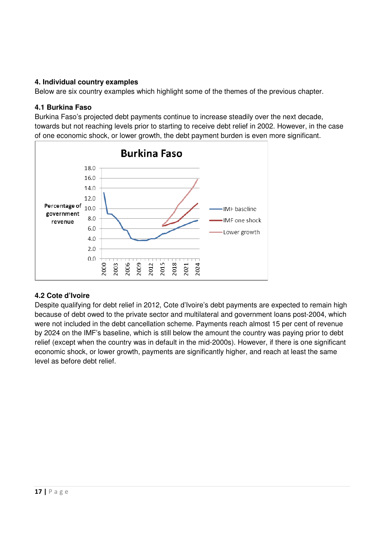#### **4. Individual country examples**

Below are six country examples which highlight some of the themes of the previous chapter.

#### **4.1 Burkina Faso**

Burkina Faso's projected debt payments continue to increase steadily over the next decade, towards but not reaching levels prior to starting to receive debt relief in 2002. However, in the case of one economic shock, or lower growth, the debt payment burden is even more significant.



### **4.2 Cote d'Ivoire**

Despite qualifying for debt relief in 2012, Cote d'Ivoire's debt payments are expected to remain high because of debt owed to the private sector and multilateral and government loans post-2004, which were not included in the debt cancellation scheme. Payments reach almost 15 per cent of revenue by 2024 on the IMF's baseline, which is still below the amount the country was paying prior to debt relief (except when the country was in default in the mid-2000s). However, if there is one significant economic shock, or lower growth, payments are significantly higher, and reach at least the same level as before debt relief.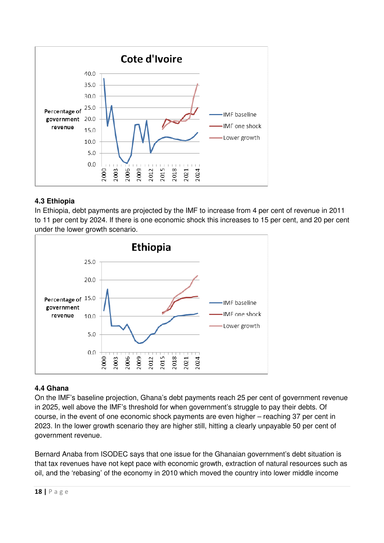

### **4.3 Ethiopia**

In Ethiopia, debt payments are projected by the IMF to increase from 4 per cent of revenue in 2011 to 11 per cent by 2024. If there is one economic shock this increases to 15 per cent, and 20 per cent under the lower growth scenario.



#### **4.4 Ghana**

On the IMF's baseline projection, Ghana's debt payments reach 25 per cent of government revenue in 2025, well above the IMF's threshold for when government's struggle to pay their debts. Of course, in the event of one economic shock payments are even higher – reaching 37 per cent in 2023. In the lower growth scenario they are higher still, hitting a clearly unpayable 50 per cent of government revenue.

Bernard Anaba from ISODEC says that one issue for the Ghanaian government's debt situation is that tax revenues have not kept pace with economic growth, extraction of natural resources such as oil, and the 'rebasing' of the economy in 2010 which moved the country into lower middle income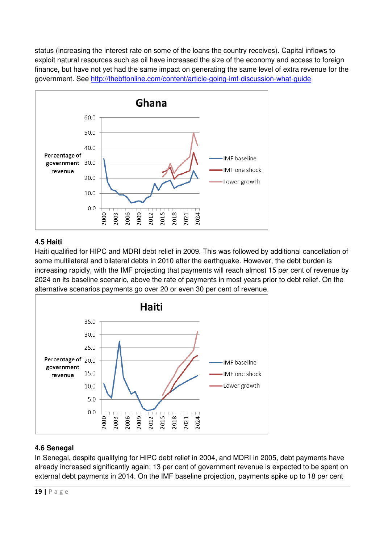status (increasing the interest rate on some of the loans the country receives). Capital inflows to exploit natural resources such as oil have increased the size of the economy and access to foreign finance, but have not yet had the same impact on generating the same level of extra revenue for the government. See http://thebftonline.com/content/article-going-imf-discussion-what-guide



#### **4.5 Haiti**

Haiti qualified for HIPC and MDRI debt relief in 2009. This was followed by additional cancellation of some multilateral and bilateral debts in 2010 after the earthquake. However, the debt burden is increasing rapidly, with the IMF projecting that payments will reach almost 15 per cent of revenue by 2024 on its baseline scenario, above the rate of payments in most years prior to debt relief. On the alternative scenarios payments go over 20 or even 30 per cent of revenue.



### **4.6 Senegal**

In Senegal, despite qualifying for HIPC debt relief in 2004, and MDRI in 2005, debt payments have already increased significantly again; 13 per cent of government revenue is expected to be spent on external debt payments in 2014. On the IMF baseline projection, payments spike up to 18 per cent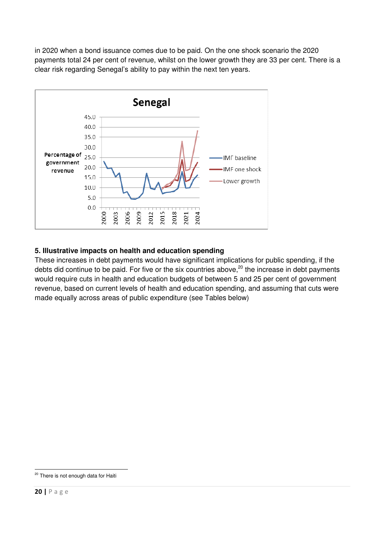in 2020 when a bond issuance comes due to be paid. On the one shock scenario the 2020 payments total 24 per cent of revenue, whilst on the lower growth they are 33 per cent. There is a clear risk regarding Senegal's ability to pay within the next ten years.



### **5. Illustrative impacts on health and education spending**

These increases in debt payments would have significant implications for public spending, if the debts did continue to be paid. For five or the six countries above, $20$  the increase in debt payments would require cuts in health and education budgets of between 5 and 25 per cent of government revenue, based on current levels of health and education spending, and assuming that cuts were made equally across areas of public expenditure (see Tables below)

 <sup>20</sup> There is not enough data for Haiti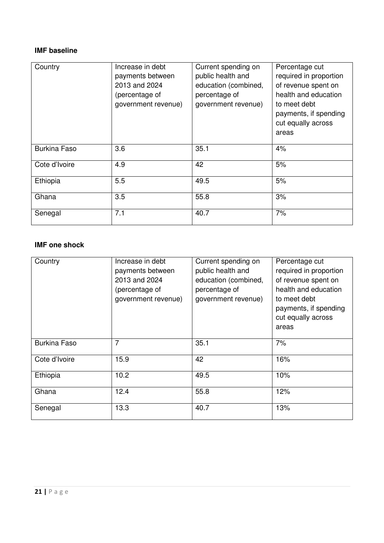# **IMF baseline**

| Country             | Increase in debt<br>payments between<br>2013 and 2024<br>(percentage of<br>government revenue) | Current spending on<br>public health and<br>education (combined,<br>percentage of<br>government revenue) | Percentage cut<br>required in proportion<br>of revenue spent on<br>health and education<br>to meet debt<br>payments, if spending<br>cut equally across<br>areas |
|---------------------|------------------------------------------------------------------------------------------------|----------------------------------------------------------------------------------------------------------|-----------------------------------------------------------------------------------------------------------------------------------------------------------------|
| <b>Burkina Faso</b> | 3.6                                                                                            | 35.1                                                                                                     | 4%                                                                                                                                                              |
| Cote d'Ivoire       | 4.9                                                                                            | 42                                                                                                       | 5%                                                                                                                                                              |
| Ethiopia            | 5.5                                                                                            | 49.5                                                                                                     | 5%                                                                                                                                                              |
| Ghana               | 3.5                                                                                            | 55.8                                                                                                     | 3%                                                                                                                                                              |
| Senegal             | 7.1                                                                                            | 40.7                                                                                                     | 7%                                                                                                                                                              |

## **IMF one shock**

| Country             | Increase in debt<br>payments between<br>2013 and 2024<br>(percentage of<br>government revenue) | Current spending on<br>public health and<br>education (combined,<br>percentage of<br>government revenue) | Percentage cut<br>required in proportion<br>of revenue spent on<br>health and education<br>to meet debt<br>payments, if spending<br>cut equally across<br>areas |
|---------------------|------------------------------------------------------------------------------------------------|----------------------------------------------------------------------------------------------------------|-----------------------------------------------------------------------------------------------------------------------------------------------------------------|
| <b>Burkina Faso</b> | $\overline{7}$                                                                                 | 35.1                                                                                                     | 7%                                                                                                                                                              |
| Cote d'Ivoire       | 15.9                                                                                           | 42                                                                                                       | 16%                                                                                                                                                             |
| Ethiopia            | 10.2                                                                                           | 49.5                                                                                                     | 10%                                                                                                                                                             |
| Ghana               | 12.4                                                                                           | 55.8                                                                                                     | 12%                                                                                                                                                             |
| Senegal             | 13.3                                                                                           | 40.7                                                                                                     | 13%                                                                                                                                                             |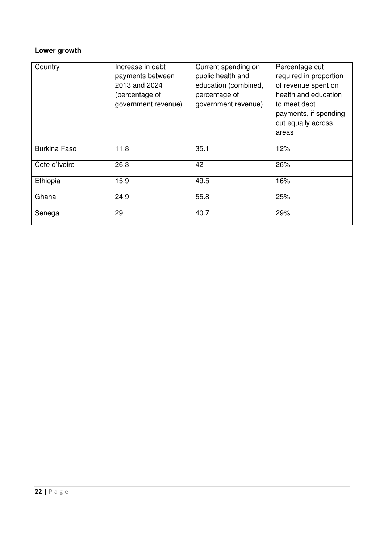# **Lower growth**

| Country             | Increase in debt<br>payments between<br>2013 and 2024<br>(percentage of<br>government revenue) | Current spending on<br>public health and<br>education (combined,<br>percentage of<br>government revenue) | Percentage cut<br>required in proportion<br>of revenue spent on<br>health and education<br>to meet debt<br>payments, if spending<br>cut equally across<br>areas |
|---------------------|------------------------------------------------------------------------------------------------|----------------------------------------------------------------------------------------------------------|-----------------------------------------------------------------------------------------------------------------------------------------------------------------|
| <b>Burkina Faso</b> | 11.8                                                                                           | 35.1                                                                                                     | 12%                                                                                                                                                             |
| Cote d'Ivoire       | 26.3                                                                                           | 42                                                                                                       | 26%                                                                                                                                                             |
| Ethiopia            | 15.9                                                                                           | 49.5                                                                                                     | 16%                                                                                                                                                             |
| Ghana               | 24.9                                                                                           | 55.8                                                                                                     | 25%                                                                                                                                                             |
| Senegal             | 29                                                                                             | 40.7                                                                                                     | 29%                                                                                                                                                             |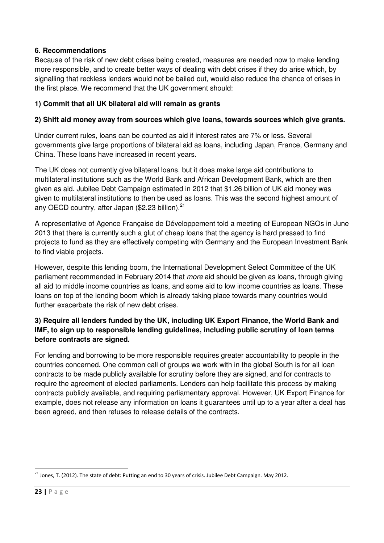#### **6. Recommendations**

Because of the risk of new debt crises being created, measures are needed now to make lending more responsible, and to create better ways of dealing with debt crises if they do arise which, by signalling that reckless lenders would not be bailed out, would also reduce the chance of crises in the first place. We recommend that the UK government should:

### **1) Commit that all UK bilateral aid will remain as grants**

#### **2) Shift aid money away from sources which give loans, towards sources which give grants.**

Under current rules, loans can be counted as aid if interest rates are 7% or less. Several governments give large proportions of bilateral aid as loans, including Japan, France, Germany and China. These loans have increased in recent years.

The UK does not currently give bilateral loans, but it does make large aid contributions to multilateral institutions such as the World Bank and African Development Bank, which are then given as aid. Jubilee Debt Campaign estimated in 2012 that \$1.26 billion of UK aid money was given to multilateral institutions to then be used as loans. This was the second highest amount of any OECD country, after Japan (\$2.23 billion).<sup>21</sup>

A representative of Agence Française de Développement told a meeting of European NGOs in June 2013 that there is currently such a glut of cheap loans that the agency is hard pressed to find projects to fund as they are effectively competing with Germany and the European Investment Bank to find viable projects.

However, despite this lending boom, the International Development Select Committee of the UK parliament recommended in February 2014 that more aid should be given as loans, through giving all aid to middle income countries as loans, and some aid to low income countries as loans. These loans on top of the lending boom which is already taking place towards many countries would further exacerbate the risk of new debt crises.

### **3) Require all lenders funded by the UK, including UK Export Finance, the World Bank and IMF, to sign up to responsible lending guidelines, including public scrutiny of loan terms before contracts are signed.**

For lending and borrowing to be more responsible requires greater accountability to people in the countries concerned. One common call of groups we work with in the global South is for all loan contracts to be made publicly available for scrutiny before they are signed, and for contracts to require the agreement of elected parliaments. Lenders can help facilitate this process by making contracts publicly available, and requiring parliamentary approval. However, UK Export Finance for example, does not release any information on loans it guarantees until up to a year after a deal has been agreed, and then refuses to release details of the contracts.

l

<sup>&</sup>lt;sup>21</sup> Jones, T. (2012). The state of debt: Putting an end to 30 years of crisis. Jubilee Debt Campaign. May 2012.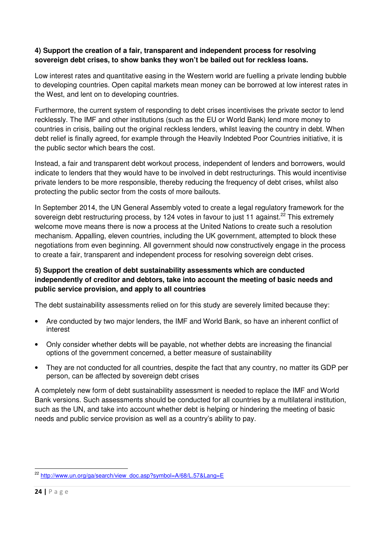#### **4) Support the creation of a fair, transparent and independent process for resolving sovereign debt crises, to show banks they won't be bailed out for reckless loans.**

Low interest rates and quantitative easing in the Western world are fuelling a private lending bubble to developing countries. Open capital markets mean money can be borrowed at low interest rates in the West, and lent on to developing countries.

Furthermore, the current system of responding to debt crises incentivises the private sector to lend recklessly. The IMF and other institutions (such as the EU or World Bank) lend more money to countries in crisis, bailing out the original reckless lenders, whilst leaving the country in debt. When debt relief is finally agreed, for example through the Heavily Indebted Poor Countries initiative, it is the public sector which bears the cost.

Instead, a fair and transparent debt workout process, independent of lenders and borrowers, would indicate to lenders that they would have to be involved in debt restructurings. This would incentivise private lenders to be more responsible, thereby reducing the frequency of debt crises, whilst also protecting the public sector from the costs of more bailouts.

In September 2014, the UN General Assembly voted to create a legal regulatory framework for the sovereign debt restructuring process, by 124 votes in favour to just 11 against.<sup>22</sup> This extremely welcome move means there is now a process at the United Nations to create such a resolution mechanism. Appalling, eleven countries, including the UK government, attempted to block these negotiations from even beginning. All government should now constructively engage in the process to create a fair, transparent and independent process for resolving sovereign debt crises.

### **5) Support the creation of debt sustainability assessments which are conducted independently of creditor and debtors, take into account the meeting of basic needs and public service provision, and apply to all countries**

The debt sustainability assessments relied on for this study are severely limited because they:

- Are conducted by two major lenders, the IMF and World Bank, so have an inherent conflict of interest
- Only consider whether debts will be payable, not whether debts are increasing the financial options of the government concerned, a better measure of sustainability
- They are not conducted for all countries, despite the fact that any country, no matter its GDP per person, can be affected by sovereign debt crises

A completely new form of debt sustainability assessment is needed to replace the IMF and World Bank versions. Such assessments should be conducted for all countries by a multilateral institution, such as the UN, and take into account whether debt is helping or hindering the meeting of basic needs and public service provision as well as a country's ability to pay.

 $\overline{a}$ 

<sup>&</sup>lt;sup>22</sup> http://www.un.org/ga/search/view\_doc.asp?symbol=A/68/L.57&Lang=E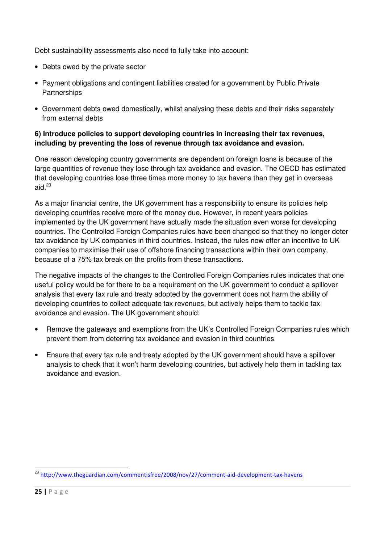Debt sustainability assessments also need to fully take into account:

- Debts owed by the private sector
- Payment obligations and contingent liabilities created for a government by Public Private **Partnerships**
- Government debts owed domestically, whilst analysing these debts and their risks separately from external debts

#### **6) Introduce policies to support developing countries in increasing their tax revenues, including by preventing the loss of revenue through tax avoidance and evasion.**

One reason developing country governments are dependent on foreign loans is because of the large quantities of revenue they lose through tax avoidance and evasion. The OECD has estimated that developing countries lose three times more money to tax havens than they get in overseas aid. $^{23}$ 

As a major financial centre, the UK government has a responsibility to ensure its policies help developing countries receive more of the money due. However, in recent years policies implemented by the UK government have actually made the situation even worse for developing countries. The Controlled Foreign Companies rules have been changed so that they no longer deter tax avoidance by UK companies in third countries. Instead, the rules now offer an incentive to UK companies to maximise their use of offshore financing transactions within their own company, because of a 75% tax break on the profits from these transactions.

The negative impacts of the changes to the Controlled Foreign Companies rules indicates that one useful policy would be for there to be a requirement on the UK government to conduct a spillover analysis that every tax rule and treaty adopted by the government does not harm the ability of developing countries to collect adequate tax revenues, but actively helps them to tackle tax avoidance and evasion. The UK government should:

- Remove the gateways and exemptions from the UK's Controlled Foreign Companies rules which prevent them from deterring tax avoidance and evasion in third countries
- Ensure that every tax rule and treaty adopted by the UK government should have a spillover analysis to check that it won't harm developing countries, but actively help them in tackling tax avoidance and evasion.

<sup>&</sup>lt;sup>23</sup> http://www.theguardian.com/commentisfree/2008/nov/27/comment-aid-development-tax-havens